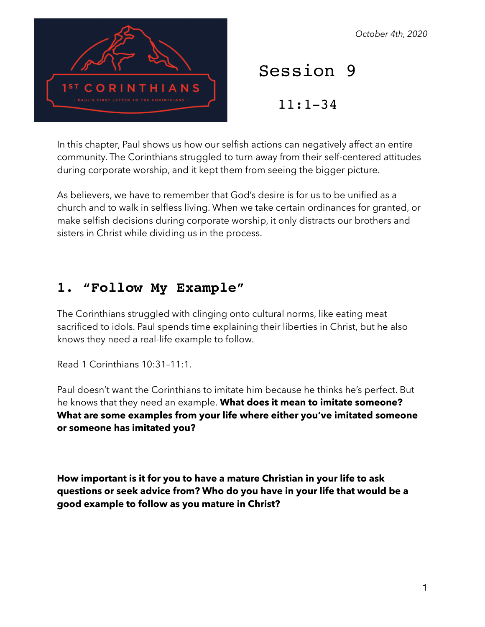THIANS

#### *October 4th, 2020*

Session 9

11:1-34

In this chapter, Paul shows us how our selfish actions can negatively affect an entire community. The Corinthians struggled to turn away from their self-centered attitudes during corporate worship, and it kept them from seeing the bigger picture.

As believers, we have to remember that God's desire is for us to be unified as a church and to walk in selfless living. When we take certain ordinances for granted, or make selfish decisions during corporate worship, it only distracts our brothers and sisters in Christ while dividing us in the process.

## **1. "Follow My Example"**

The Corinthians struggled with clinging onto cultural norms, like eating meat sacrificed to idols. Paul spends time explaining their liberties in Christ, but he also knows they need a real-life example to follow.

Read 1 Corinthians 10:31–11:1.

Paul doesn't want the Corinthians to imitate him because he thinks he's perfect. But he knows that they need an example. **What does it mean to imitate someone? What are some examples from your life where either you've imitated someone or someone has imitated you?** 

**How important is it for you to have a mature Christian in your life to ask questions or seek advice from? Who do you have in your life that would be a good example to follow as you mature in Christ?**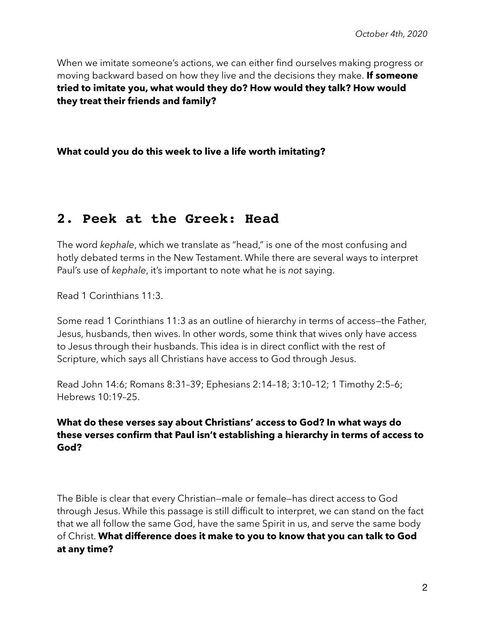When we imitate someone's actions, we can either find ourselves making progress or moving backward based on how they live and the decisions they make. **If someone tried to imitate you, what would they do? How would they talk? How would they treat their friends and family?** 

**What could you do this week to live a life worth imitating?** 

# **2. Peek at the Greek: Head**

The word *kephale*, which we translate as "head," is one of the most confusing and hotly debated terms in the New Testament. While there are several ways to interpret Paul's use of *kephale*, it's important to note what he is *not* saying.

Read 1 Corinthians 11:3.

Some read 1 Corinthians 11:3 as an outline of hierarchy in terms of access—the Father, Jesus, husbands, then wives. In other words, some think that wives only have access to Jesus through their husbands. This idea is in direct conflict with the rest of Scripture, which says all Christians have access to God through Jesus.

Read John 14:6; Romans 8:31–39; Ephesians 2:14–18; 3:10–12; 1 Timothy 2:5–6; Hebrews 10:19–25.

### **What do these verses say about Christians' access to God? In what ways do these verses confirm that Paul isn't establishing a hierarchy in terms of access to God?**

The Bible is clear that every Christian—male or female—has direct access to God through Jesus. While this passage is still difficult to interpret, we can stand on the fact that we all follow the same God, have the same Spirit in us, and serve the same body of Christ. **What difference does it make to you to know that you can talk to God at any time?**